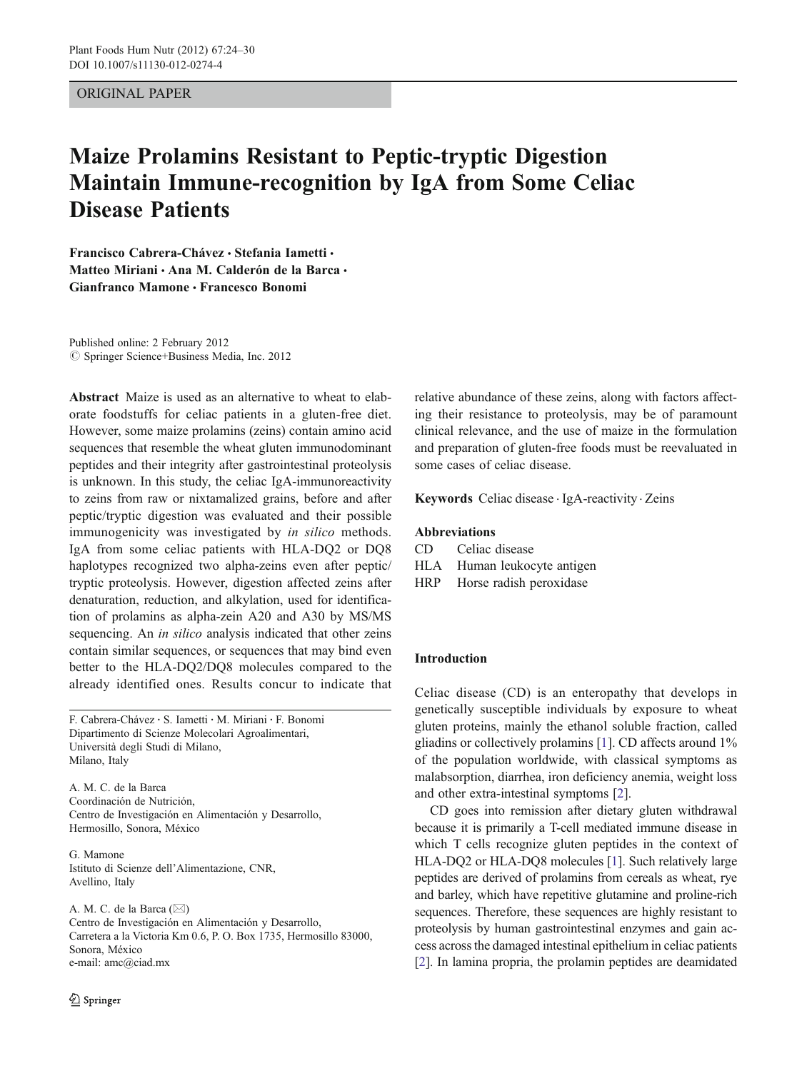# ORIGINAL PAPER

# Maize Prolamins Resistant to Peptic-tryptic Digestion Maintain Immune-recognition by IgA from Some Celiac Disease Patients

Francisco Cabrera-Chávez · Stefania Iametti · Matteo Miriani · Ana M. Calderón de la Barca · Gianfranco Mamone & Francesco Bonomi

Published online: 2 February 2012  $\oslash$  Springer Science+Business Media, Inc. 2012

Abstract Maize is used as an alternative to wheat to elaborate foodstuffs for celiac patients in a gluten-free diet. However, some maize prolamins (zeins) contain amino acid sequences that resemble the wheat gluten immunodominant peptides and their integrity after gastrointestinal proteolysis is unknown. In this study, the celiac IgA-immunoreactivity to zeins from raw or nixtamalized grains, before and after peptic/tryptic digestion was evaluated and their possible immunogenicity was investigated by in silico methods. IgA from some celiac patients with HLA-DQ2 or DQ8 haplotypes recognized two alpha-zeins even after peptic/ tryptic proteolysis. However, digestion affected zeins after denaturation, reduction, and alkylation, used for identification of prolamins as alpha-zein A20 and A30 by MS/MS sequencing. An *in silico* analysis indicated that other zeins contain similar sequences, or sequences that may bind even better to the HLA-DQ2/DQ8 molecules compared to the already identified ones. Results concur to indicate that

F. Cabrera-Chávez : S. Iametti : M. Miriani : F. Bonomi Dipartimento di Scienze Molecolari Agroalimentari, Università degli Studi di Milano, Milano, Italy

A. M. C. de la Barca Coordinación de Nutrición, Centro de Investigación en Alimentación y Desarrollo, Hermosillo, Sonora, México

G. Mamone Istituto di Scienze dell'Alimentazione, CNR, Avellino, Italy

A. M. C. de la Barca  $(\boxtimes)$ Centro de Investigación en Alimentación y Desarrollo, Carretera a la Victoria Km 0.6, P. O. Box 1735, Hermosillo 83000, Sonora, México e-mail: amc@ciad.mx

relative abundance of these zeins, along with factors affecting their resistance to proteolysis, may be of paramount clinical relevance, and the use of maize in the formulation and preparation of gluten-free foods must be reevaluated in some cases of celiac disease.

Keywords Celiac disease . IgA-reactivity . Zeins

### Abbreviations

CD Celiac disease HLA Human leukocyte antigen HRP Horse radish peroxidase

# Introduction

Celiac disease (CD) is an enteropathy that develops in genetically susceptible individuals by exposure to wheat gluten proteins, mainly the ethanol soluble fraction, called gliadins or collectively prolamins [[1\]](#page-5-0). CD affects around 1% of the population worldwide, with classical symptoms as malabsorption, diarrhea, iron deficiency anemia, weight loss and other extra-intestinal symptoms [[2\]](#page-5-0).

CD goes into remission after dietary gluten withdrawal because it is primarily a T-cell mediated immune disease in which T cells recognize gluten peptides in the context of HLA-DQ2 or HLA-DQ8 molecules [\[1](#page-5-0)]. Such relatively large peptides are derived of prolamins from cereals as wheat, rye and barley, which have repetitive glutamine and proline-rich sequences. Therefore, these sequences are highly resistant to proteolysis by human gastrointestinal enzymes and gain access across the damaged intestinal epithelium in celiac patients [\[2](#page-5-0)]. In lamina propria, the prolamin peptides are deamidated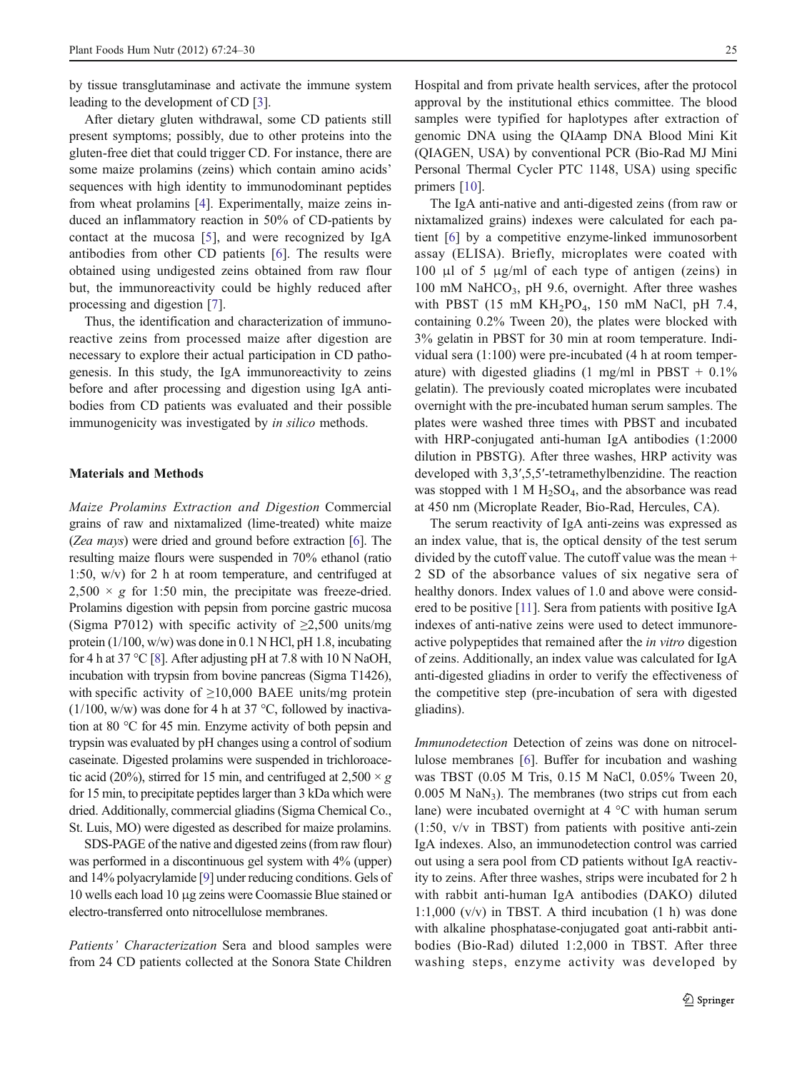by tissue transglutaminase and activate the immune system leading to the development of CD [[3\]](#page-5-0).

After dietary gluten withdrawal, some CD patients still present symptoms; possibly, due to other proteins into the gluten-free diet that could trigger CD. For instance, there are some maize prolamins (zeins) which contain amino acids' sequences with high identity to immunodominant peptides from wheat prolamins [[4\]](#page-5-0). Experimentally, maize zeins induced an inflammatory reaction in 50% of CD-patients by contact at the mucosa [[5\]](#page-5-0), and were recognized by IgA antibodies from other CD patients [[6\]](#page-5-0). The results were obtained using undigested zeins obtained from raw flour but, the immunoreactivity could be highly reduced after processing and digestion [\[7](#page-5-0)].

Thus, the identification and characterization of immunoreactive zeins from processed maize after digestion are necessary to explore their actual participation in CD pathogenesis. In this study, the IgA immunoreactivity to zeins before and after processing and digestion using IgA antibodies from CD patients was evaluated and their possible immunogenicity was investigated by *in silico* methods.

#### Materials and Methods

Maize Prolamins Extraction and Digestion Commercial grains of raw and nixtamalized (lime-treated) white maize (Zea mays) were dried and ground before extraction [[6\]](#page-5-0). The resulting maize flours were suspended in 70% ethanol (ratio 1:50, w/v) for 2 h at room temperature, and centrifuged at  $2,500 \times g$  for 1:50 min, the precipitate was freeze-dried. Prolamins digestion with pepsin from porcine gastric mucosa (Sigma P7012) with specific activity of  $\geq 2,500$  units/mg protein (1/100, w/w) was done in 0.1 N HCl, pH 1.8, incubating for 4 h at 37 °C [\[8\]](#page-5-0). After adjusting pH at 7.8 with 10 N NaOH, incubation with trypsin from bovine pancreas (Sigma T1426), with specific activity of  $\geq$ 10,000 BAEE units/mg protein  $(1/100, w/w)$  was done for 4 h at 37 °C, followed by inactivation at 80 °C for 45 min. Enzyme activity of both pepsin and trypsin was evaluated by pH changes using a control of sodium caseinate. Digested prolamins were suspended in trichloroacetic acid (20%), stirred for 15 min, and centrifuged at 2,500  $\times$  g for 15 min, to precipitate peptides larger than 3 kDa which were dried. Additionally, commercial gliadins (Sigma Chemical Co., St. Luis, MO) were digested as described for maize prolamins.

SDS-PAGE of the native and digested zeins (from raw flour) was performed in a discontinuous gel system with 4% (upper) and 14% polyacrylamide [\[9\]](#page-5-0) under reducing conditions. Gels of 10 wells each load 10 μg zeins were Coomassie Blue stained or electro-transferred onto nitrocellulose membranes.

Patients' Characterization Sera and blood samples were from 24 CD patients collected at the Sonora State Children Hospital and from private health services, after the protocol approval by the institutional ethics committee. The blood samples were typified for haplotypes after extraction of genomic DNA using the QIAamp DNA Blood Mini Kit (QIAGEN, USA) by conventional PCR (Bio-Rad MJ Mini Personal Thermal Cycler PTC 1148, USA) using specific primers [\[10](#page-5-0)].

The IgA anti-native and anti-digested zeins (from raw or nixtamalized grains) indexes were calculated for each patient [\[6](#page-5-0)] by a competitive enzyme-linked immunosorbent assay (ELISA). Briefly, microplates were coated with 100 μl of 5 μg/ml of each type of antigen (zeins) in 100 mM NaHCO<sub>3</sub>, pH 9.6, overnight. After three washes with PBST (15 mM KH<sub>2</sub>PO<sub>4</sub>, 150 mM NaCl, pH 7.4, containing 0.2% Tween 20), the plates were blocked with 3% gelatin in PBST for 30 min at room temperature. Individual sera (1:100) were pre-incubated (4 h at room temperature) with digested gliadins (1 mg/ml in PBST +  $0.1\%$ gelatin). The previously coated microplates were incubated overnight with the pre-incubated human serum samples. The plates were washed three times with PBST and incubated with HRP-conjugated anti-human IgA antibodies (1:2000 dilution in PBSTG). After three washes, HRP activity was developed with 3,3′,5,5′-tetramethylbenzidine. The reaction was stopped with  $1 M H_2SO_4$ , and the absorbance was read at 450 nm (Microplate Reader, Bio-Rad, Hercules, CA).

The serum reactivity of IgA anti-zeins was expressed as an index value, that is, the optical density of the test serum divided by the cutoff value. The cutoff value was the mean + 2 SD of the absorbance values of six negative sera of healthy donors. Index values of 1.0 and above were considered to be positive [[11](#page-5-0)]. Sera from patients with positive IgA indexes of anti-native zeins were used to detect immunoreactive polypeptides that remained after the in vitro digestion of zeins. Additionally, an index value was calculated for IgA anti-digested gliadins in order to verify the effectiveness of the competitive step (pre-incubation of sera with digested gliadins).

Immunodetection Detection of zeins was done on nitrocellulose membranes [[6\]](#page-5-0). Buffer for incubation and washing was TBST (0.05 M Tris, 0.15 M NaCl, 0.05% Tween 20,  $0.005$  M NaN<sub>3</sub>). The membranes (two strips cut from each lane) were incubated overnight at 4 °C with human serum (1:50, v/v in TBST) from patients with positive anti-zein IgA indexes. Also, an immunodetection control was carried out using a sera pool from CD patients without IgA reactivity to zeins. After three washes, strips were incubated for 2 h with rabbit anti-human IgA antibodies (DAKO) diluted 1:1,000 ( $v/v$ ) in TBST. A third incubation (1 h) was done with alkaline phosphatase-conjugated goat anti-rabbit antibodies (Bio-Rad) diluted 1:2,000 in TBST. After three washing steps, enzyme activity was developed by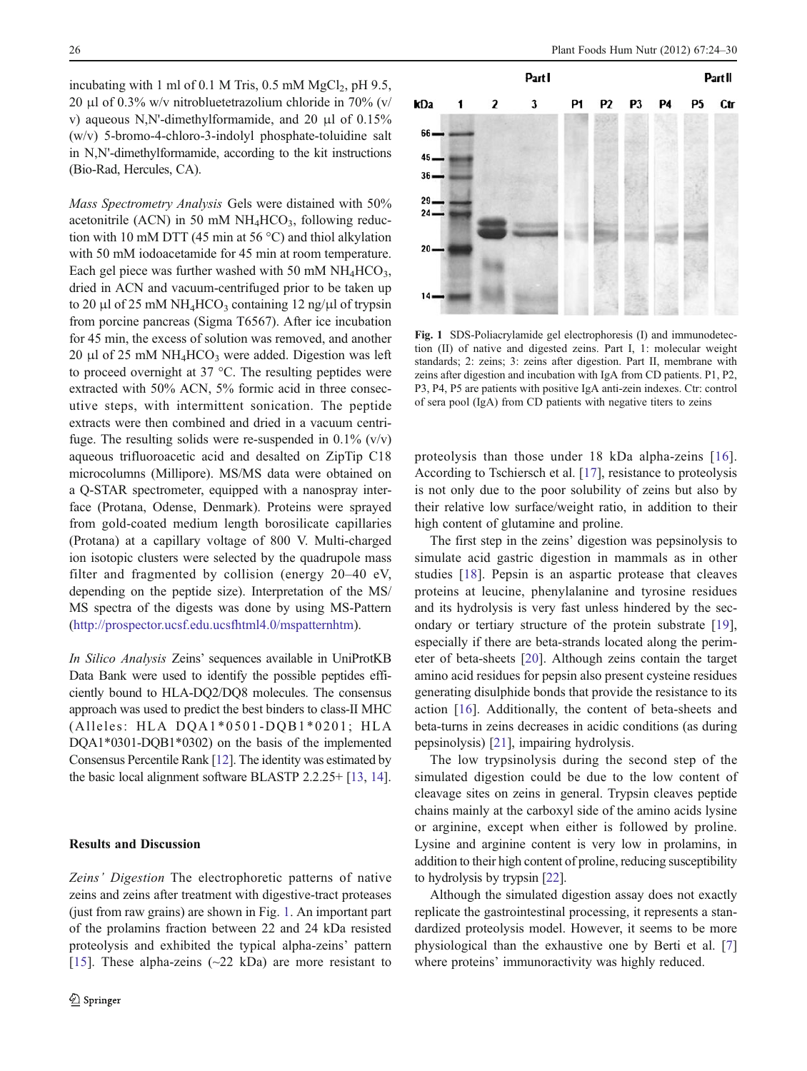<span id="page-2-0"></span>incubating with 1 ml of 0.1 M Tris,  $0.5$  mM MgCl<sub>2</sub>, pH 9.5, 20 μl of 0.3% w/v nitrobluetetrazolium chloride in 70% (v/ v) aqueous N,N'-dimethylformamide, and 20 μl of 0.15% (w/v) 5-bromo-4-chloro-3-indolyl phosphate-toluidine salt in N,N'-dimethylformamide, according to the kit instructions (Bio-Rad, Hercules, CA).

Mass Spectrometry Analysis Gels were distained with 50% acetonitrile (ACN) in 50 mM  $NH<sub>4</sub>HCO<sub>3</sub>$ , following reduction with 10 mM DTT (45 min at 56 °C) and thiol alkylation with 50 mM iodoacetamide for 45 min at room temperature. Each gel piece was further washed with 50 mM  $NH_4HCO_3$ , dried in ACN and vacuum-centrifuged prior to be taken up to 20 μl of 25 mM NH<sub>4</sub>HCO<sub>3</sub> containing 12 ng/μl of trypsin from porcine pancreas (Sigma T6567). After ice incubation for 45 min, the excess of solution was removed, and another 20 μl of 25 mM  $NH_4HCO_3$  were added. Digestion was left to proceed overnight at 37 °C. The resulting peptides were extracted with 50% ACN, 5% formic acid in three consecutive steps, with intermittent sonication. The peptide extracts were then combined and dried in a vacuum centrifuge. The resulting solids were re-suspended in  $0.1\%$  (v/v) aqueous trifluoroacetic acid and desalted on ZipTip C18 microcolumns (Millipore). MS/MS data were obtained on a Q-STAR spectrometer, equipped with a nanospray interface (Protana, Odense, Denmark). Proteins were sprayed from gold-coated medium length borosilicate capillaries (Protana) at a capillary voltage of 800 V. Multi-charged ion isotopic clusters were selected by the quadrupole mass filter and fragmented by collision (energy 20–40 eV, depending on the peptide size). Interpretation of the MS/ MS spectra of the digests was done by using MS-Pattern [\(http://prospector.ucsf.edu.ucsfhtml4.0/mspatternhtm](http://prospector.ucsf.edu.ucsfhtml4.0/mspatternhtm)).

In Silico Analysis Zeins' sequences available in UniProtKB Data Bank were used to identify the possible peptides efficiently bound to HLA-DQ2/DQ8 molecules. The consensus approach was used to predict the best binders to class-II MHC (Alleles: HLA DQA1\*0501-DQB1\*0201; HLA DQA1\*0301-DQB1\*0302) on the basis of the implemented Consensus Percentile Rank [\[12](#page-5-0)]. The identity was estimated by the basic local alignment software BLASTP 2.2.25+ [[13,](#page-5-0) [14](#page-5-0)].

#### Results and Discussion

Zeins' Digestion The electrophoretic patterns of native zeins and zeins after treatment with digestive-tract proteases (just from raw grains) are shown in Fig. 1. An important part of the prolamins fraction between 22 and 24 kDa resisted proteolysis and exhibited the typical alpha-zeins' pattern [\[15](#page-5-0)]. These alpha-zeins  $(\sim 22 \text{ kDa})$  are more resistant to



Fig. 1 SDS-Poliacrylamide gel electrophoresis (I) and immunodetection (II) of native and digested zeins. Part I, 1: molecular weight standards; 2: zeins; 3: zeins after digestion. Part II, membrane with zeins after digestion and incubation with IgA from CD patients. P1, P2, P3, P4, P5 are patients with positive IgA anti-zein indexes. Ctr: control of sera pool (IgA) from CD patients with negative titers to zeins

proteolysis than those under 18 kDa alpha-zeins [[16](#page-5-0)]. According to Tschiersch et al. [[17\]](#page-5-0), resistance to proteolysis is not only due to the poor solubility of zeins but also by their relative low surface/weight ratio, in addition to their high content of glutamine and proline.

The first step in the zeins' digestion was pepsinolysis to simulate acid gastric digestion in mammals as in other studies [\[18\]](#page-5-0). Pepsin is an aspartic protease that cleaves proteins at leucine, phenylalanine and tyrosine residues and its hydrolysis is very fast unless hindered by the secondary or tertiary structure of the protein substrate [\[19](#page-5-0)], especially if there are beta-strands located along the perimeter of beta-sheets [[20\]](#page-5-0). Although zeins contain the target amino acid residues for pepsin also present cysteine residues generating disulphide bonds that provide the resistance to its action [[16\]](#page-5-0). Additionally, the content of beta-sheets and beta-turns in zeins decreases in acidic conditions (as during pepsinolysis) [[21\]](#page-5-0), impairing hydrolysis.

The low trypsinolysis during the second step of the simulated digestion could be due to the low content of cleavage sites on zeins in general. Trypsin cleaves peptide chains mainly at the carboxyl side of the amino acids lysine or arginine, except when either is followed by proline. Lysine and arginine content is very low in prolamins, in addition to their high content of proline, reducing susceptibility to hydrolysis by trypsin [\[22\]](#page-5-0).

Although the simulated digestion assay does not exactly replicate the gastrointestinal processing, it represents a standardized proteolysis model. However, it seems to be more physiological than the exhaustive one by Berti et al. [[7](#page-5-0)] where proteins' immunoractivity was highly reduced.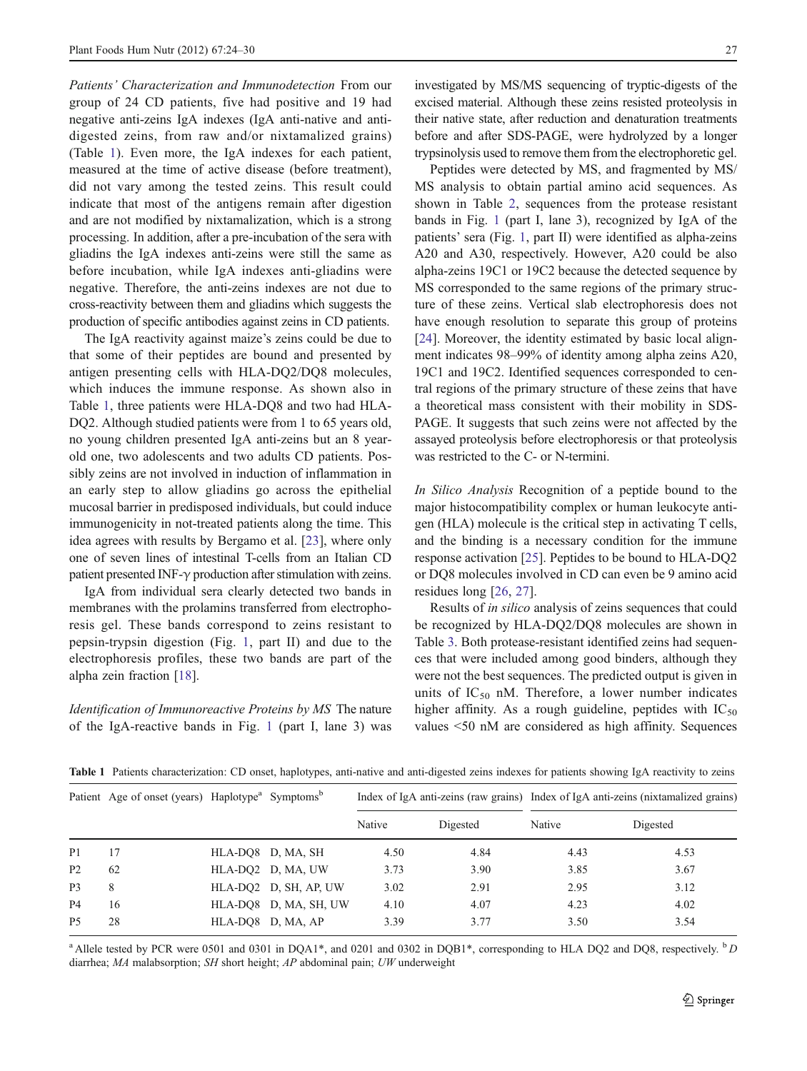Patients' Characterization and Immunodetection From our group of 24 CD patients, five had positive and 19 had negative anti-zeins IgA indexes (IgA anti-native and antidigested zeins, from raw and/or nixtamalized grains) (Table 1). Even more, the IgA indexes for each patient, measured at the time of active disease (before treatment), did not vary among the tested zeins. This result could indicate that most of the antigens remain after digestion and are not modified by nixtamalization, which is a strong processing. In addition, after a pre-incubation of the sera with gliadins the IgA indexes anti-zeins were still the same as before incubation, while IgA indexes anti-gliadins were negative. Therefore, the anti-zeins indexes are not due to cross-reactivity between them and gliadins which suggests the production of specific antibodies against zeins in CD patients.

The IgA reactivity against maize's zeins could be due to that some of their peptides are bound and presented by antigen presenting cells with HLA-DQ2/DQ8 molecules, which induces the immune response. As shown also in Table 1, three patients were HLA-DQ8 and two had HLA-DQ2. Although studied patients were from 1 to 65 years old, no young children presented IgA anti-zeins but an 8 yearold one, two adolescents and two adults CD patients. Possibly zeins are not involved in induction of inflammation in an early step to allow gliadins go across the epithelial mucosal barrier in predisposed individuals, but could induce immunogenicity in not-treated patients along the time. This idea agrees with results by Bergamo et al. [[23\]](#page-5-0), where only one of seven lines of intestinal T-cells from an Italian CD patient presented INF-γ production after stimulation with zeins.

IgA from individual sera clearly detected two bands in membranes with the prolamins transferred from electrophoresis gel. These bands correspond to zeins resistant to pepsin-trypsin digestion (Fig. [1](#page-2-0), part II) and due to the electrophoresis profiles, these two bands are part of the alpha zein fraction [[18\]](#page-5-0).

Identification of Immunoreactive Proteins by MS The nature of the IgA-reactive bands in Fig. [1](#page-2-0) (part I, lane 3) was

investigated by MS/MS sequencing of tryptic-digests of the excised material. Although these zeins resisted proteolysis in their native state, after reduction and denaturation treatments before and after SDS-PAGE, were hydrolyzed by a longer trypsinolysis used to remove them from the electrophoretic gel.

Peptides were detected by MS, and fragmented by MS/ MS analysis to obtain partial amino acid sequences. As shown in Table [2,](#page-4-0) sequences from the protease resistant bands in Fig. [1](#page-2-0) (part I, lane 3), recognized by IgA of the patients' sera (Fig. [1](#page-2-0), part II) were identified as alpha-zeins A20 and A30, respectively. However, A20 could be also alpha-zeins 19C1 or 19C2 because the detected sequence by MS corresponded to the same regions of the primary structure of these zeins. Vertical slab electrophoresis does not have enough resolution to separate this group of proteins [\[24](#page-6-0)]. Moreover, the identity estimated by basic local alignment indicates 98–99% of identity among alpha zeins A20, 19C1 and 19C2. Identified sequences corresponded to central regions of the primary structure of these zeins that have a theoretical mass consistent with their mobility in SDS-PAGE. It suggests that such zeins were not affected by the assayed proteolysis before electrophoresis or that proteolysis was restricted to the C- or N-termini.

In Silico Analysis Recognition of a peptide bound to the major histocompatibility complex or human leukocyte antigen (HLA) molecule is the critical step in activating T cells, and the binding is a necessary condition for the immune response activation [[25\]](#page-6-0). Peptides to be bound to HLA-DQ2 or DQ8 molecules involved in CD can even be 9 amino acid residues long [\[26](#page-6-0), [27\]](#page-6-0).

Results of in silico analysis of zeins sequences that could be recognized by HLA-DQ2/DQ8 molecules are shown in Table [3](#page-4-0). Both protease-resistant identified zeins had sequences that were included among good binders, although they were not the best sequences. The predicted output is given in units of  $IC_{50}$  nM. Therefore, a lower number indicates higher affinity. As a rough guideline, peptides with  $IC_{50}$ values <50 nM are considered as high affinity. Sequences

Table 1 Patients characterization: CD onset, haplotypes, anti-native and anti-digested zeins indexes for patients showing IgA reactivity to zeins

|                | Patient Age of onset (years) Haplotype <sup>a</sup> Symptoms <sup>b</sup> |                       |        |          | Index of IgA anti-zeins (raw grains) Index of IgA anti-zeins (nixtamalized grains) |          |
|----------------|---------------------------------------------------------------------------|-----------------------|--------|----------|------------------------------------------------------------------------------------|----------|
|                |                                                                           |                       | Native | Digested | Native                                                                             | Digested |
| P <sub>1</sub> | 17                                                                        | HLA-DO8 D, MA, SH     | 4.50   | 4.84     | 4.43                                                                               | 4.53     |
| <b>P2</b>      | 62                                                                        | HLA-DO2 D, MA, UW     | 3.73   | 3.90     | 3.85                                                                               | 3.67     |
| P <sub>3</sub> | 8                                                                         | HLA-DO2 D, SH, AP, UW | 3.02   | 2.91     | 2.95                                                                               | 3.12     |
| P <sub>4</sub> | 16                                                                        | HLA-DO8 D, MA, SH, UW | 4.10   | 4.07     | 4.23                                                                               | 4.02     |
| <b>P5</b>      | 28                                                                        | HLA-DO8 D, MA, AP     | 3.39   | 3.77     | 3.50                                                                               | 3.54     |

<sup>a</sup> Allele tested by PCR were 0501 and 0301 in DQA1\*, and 0201 and 0302 in DQB1\*, corresponding to HLA DQ2 and DQ8, respectively.  ${}^{b}D$ diarrhea; MA malabsorption; SH short height; AP abdominal pain; UW underweight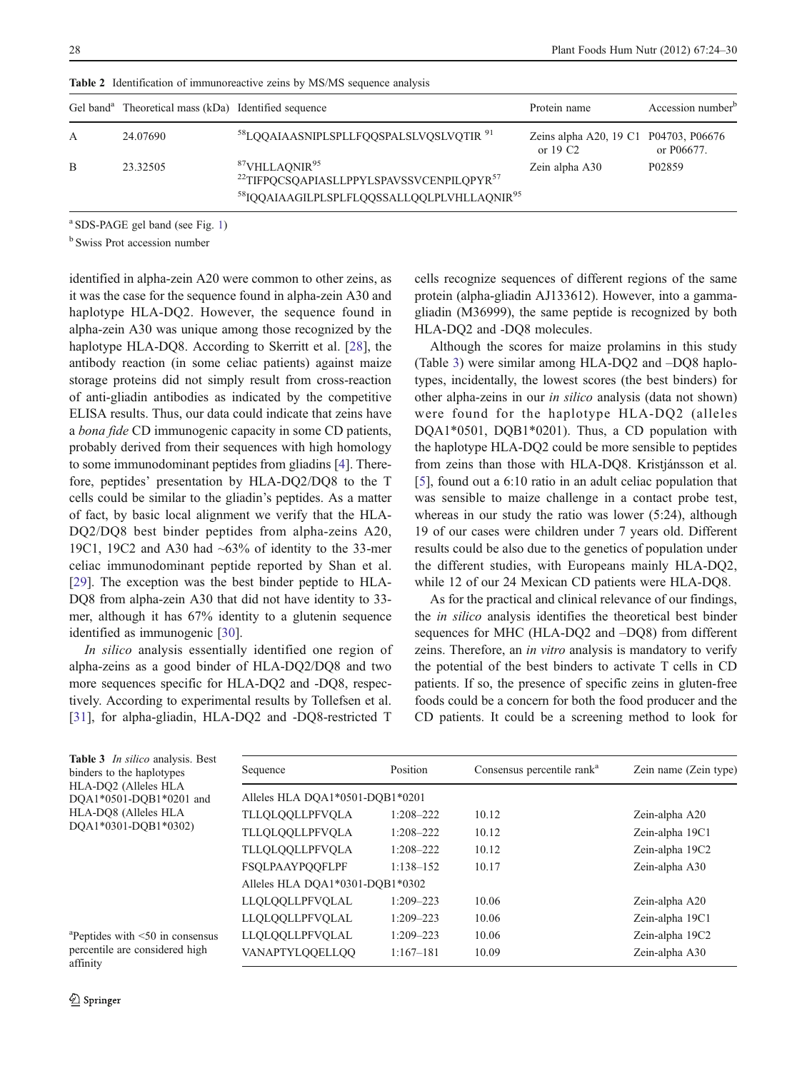|   | Gel band <sup>a</sup> Theoretical mass (kDa) Identified sequence |                                                                                                                                                                                 | Protein name                                       | Accession number <sup>b</sup> |
|---|------------------------------------------------------------------|---------------------------------------------------------------------------------------------------------------------------------------------------------------------------------|----------------------------------------------------|-------------------------------|
| A | 24.07690                                                         | <sup>58</sup> LQQAIAASNIPLSPLLFQQSPALSLVQSLVQTIR <sup>91</sup>                                                                                                                  | Zeins alpha A20, 19 C1 P04703, P06676<br>or $19C2$ | or P06677.                    |
| B | 23.32505                                                         | <sup>87</sup> VHLLAQNIR <sup>95</sup><br><sup>22</sup> TIFPQCSQAPIASLLPPYLSPAVSSVCENPILQPYR <sup>57</sup><br><sup>58</sup> IQQAIAAGILPLSPLFLQQSSALLQQLPLVHLLAQNIR <sup>95</sup> | Zein alpha A30                                     | P <sub>02859</sub>            |

<span id="page-4-0"></span>Table 2 Identification of immunoreactive zeins by MS/MS sequence analysis

a SDS-PAGE gel band (see Fig. [1](#page-2-0))

<sup>b</sup> Swiss Prot accession number

identified in alpha-zein A20 were common to other zeins, as it was the case for the sequence found in alpha-zein A30 and haplotype HLA-DQ2. However, the sequence found in alpha-zein A30 was unique among those recognized by the haplotype HLA-DQ8. According to Skerritt et al. [[28\]](#page-6-0), the antibody reaction (in some celiac patients) against maize storage proteins did not simply result from cross-reaction of anti-gliadin antibodies as indicated by the competitive ELISA results. Thus, our data could indicate that zeins have a bona fide CD immunogenic capacity in some CD patients, probably derived from their sequences with high homology to some immunodominant peptides from gliadins [[4](#page-5-0)]. Therefore, peptides' presentation by HLA-DQ2/DQ8 to the T cells could be similar to the gliadin's peptides. As a matter of fact, by basic local alignment we verify that the HLA-DQ2/DQ8 best binder peptides from alpha-zeins A20, 19C1, 19C2 and A30 had  $\sim 63\%$  of identity to the 33-mer celiac immunodominant peptide reported by Shan et al. [\[29](#page-6-0)]. The exception was the best binder peptide to HLA-DQ8 from alpha-zein A30 that did not have identity to 33 mer, although it has 67% identity to a glutenin sequence identified as immunogenic [[30\]](#page-6-0).

In silico analysis essentially identified one region of alpha-zeins as a good binder of HLA-DQ2/DQ8 and two more sequences specific for HLA-DQ2 and -DQ8, respectively. According to experimental results by Tollefsen et al. [\[31](#page-6-0)], for alpha-gliadin, HLA-DQ2 and -DQ8-restricted T

cells recognize sequences of different regions of the same protein (alpha-gliadin AJ133612). However, into a gammagliadin (M36999), the same peptide is recognized by both HLA-DQ2 and -DQ8 molecules.

Although the scores for maize prolamins in this study (Table 3) were similar among HLA-DQ2 and –DQ8 haplotypes, incidentally, the lowest scores (the best binders) for other alpha-zeins in our in silico analysis (data not shown) were found for the haplotype HLA-DQ2 (alleles DQA1\*0501, DQB1\*0201). Thus, a CD population with the haplotype HLA-DQ2 could be more sensible to peptides from zeins than those with HLA-DQ8. Kristjánsson et al. [\[5](#page-5-0)], found out a 6:10 ratio in an adult celiac population that was sensible to maize challenge in a contact probe test, whereas in our study the ratio was lower (5:24), although 19 of our cases were children under 7 years old. Different results could be also due to the genetics of population under the different studies, with Europeans mainly HLA-DQ2, while 12 of our 24 Mexican CD patients were HLA-DQ8.

As for the practical and clinical relevance of our findings, the in silico analysis identifies the theoretical best binder sequences for MHC (HLA-DQ2 and –DQ8) from different zeins. Therefore, an in vitro analysis is mandatory to verify the potential of the best binders to activate T cells in CD patients. If so, the presence of specific zeins in gluten-free foods could be a concern for both the food producer and the CD patients. It could be a screening method to look for

| <b>Table 3</b> In silico analysis. Best<br>binders to the haplotypes | Sequence                        | Position      | Consensus percentile rank <sup>a</sup> | Zein name (Zein type) |  |  |
|----------------------------------------------------------------------|---------------------------------|---------------|----------------------------------------|-----------------------|--|--|
| HLA-DO2 (Alleles HLA<br>DOA1*0501-DOB1*0201 and                      | Alleles HLA DOA1*0501-DOB1*0201 |               |                                        |                       |  |  |
| HLA-DO8 (Alleles HLA                                                 | TLLQLQQLLPFVQLA                 | $1:208 - 222$ | 10.12                                  | Zein-alpha A20        |  |  |
| DOA1*0301-DOB1*0302)                                                 | TLLOLOOLLPFVOLA                 | $1:208 - 222$ | 10.12                                  | Zein-alpha 19C1       |  |  |
|                                                                      | TLLQLQQLLPFVQLA                 | $1:208 - 222$ | 10.12                                  | Zein-alpha 19C2       |  |  |
|                                                                      | <b>FSOLPAAYPOOFLPF</b>          | $1:138 - 152$ | 10.17                                  | Zein-alpha A30        |  |  |
|                                                                      | Alleles HLA DOA1*0301-DOB1*0302 |               |                                        |                       |  |  |
|                                                                      | LLQLQQLLPFVQLAL                 | $1:209 - 223$ | 10.06                                  | Zein-alpha A20        |  |  |
|                                                                      | LLQLQQLLPFVQLAL                 | $1:209 - 223$ | 10.06                                  | Zein-alpha 19C1       |  |  |
| $a$ Peptides with $\leq 50$ in consensus                             | LLQLQQLLPFVQLAL                 | $1:209 - 223$ | 10.06                                  | Zein-alpha 19C2       |  |  |
| percentile are considered high<br>affinity                           | VANAPTYLQQELLQQ                 | $1:167 - 181$ | 10.09                                  | Zein-alpha A30        |  |  |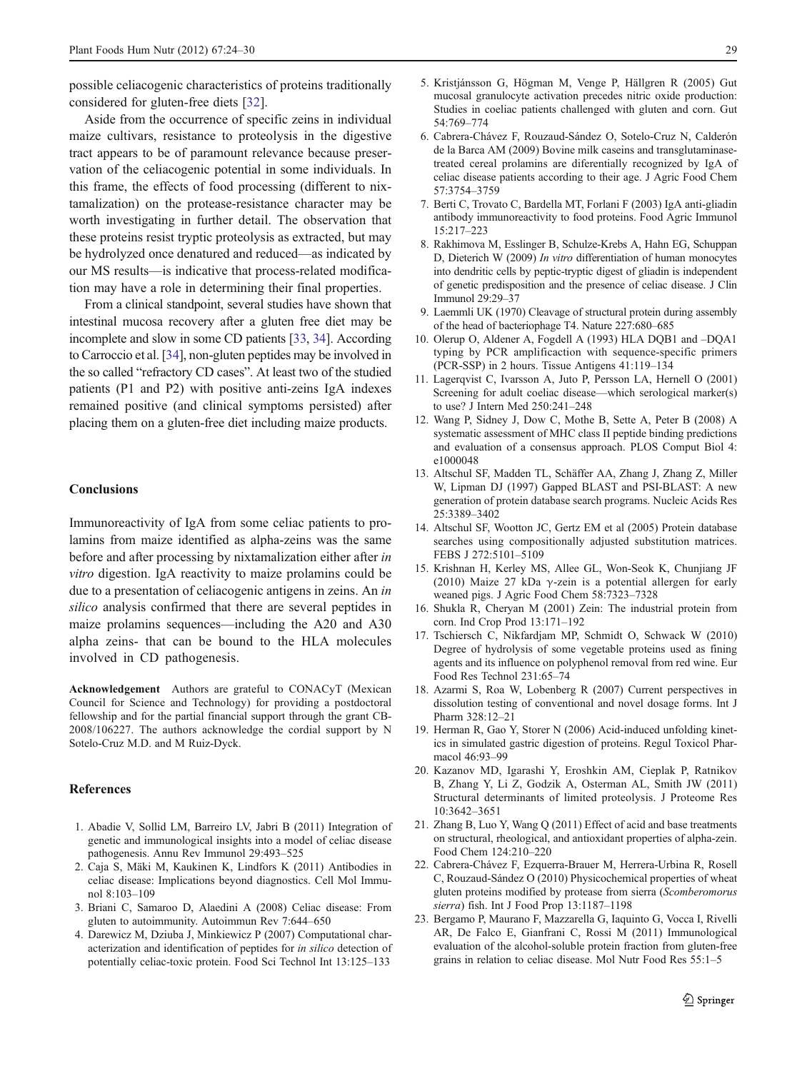<span id="page-5-0"></span>possible celiacogenic characteristics of proteins traditionally considered for gluten-free diets [\[32](#page-6-0)].

Aside from the occurrence of specific zeins in individual maize cultivars, resistance to proteolysis in the digestive tract appears to be of paramount relevance because preservation of the celiacogenic potential in some individuals. In this frame, the effects of food processing (different to nixtamalization) on the protease-resistance character may be worth investigating in further detail. The observation that these proteins resist tryptic proteolysis as extracted, but may be hydrolyzed once denatured and reduced—as indicated by our MS results—is indicative that process-related modification may have a role in determining their final properties.

From a clinical standpoint, several studies have shown that intestinal mucosa recovery after a gluten free diet may be incomplete and slow in some CD patients [\[33](#page-6-0), [34\]](#page-6-0). According to Carroccio et al. [[34](#page-6-0)], non-gluten peptides may be involved in the so called "refractory CD cases". At least two of the studied patients (P1 and P2) with positive anti-zeins IgA indexes remained positive (and clinical symptoms persisted) after placing them on a gluten-free diet including maize products.

#### **Conclusions**

Immunoreactivity of IgA from some celiac patients to prolamins from maize identified as alpha-zeins was the same before and after processing by nixtamalization either after in vitro digestion. IgA reactivity to maize prolamins could be due to a presentation of celiacogenic antigens in zeins. An in silico analysis confirmed that there are several peptides in maize prolamins sequences—including the A20 and A30 alpha zeins- that can be bound to the HLA molecules involved in CD pathogenesis.

Acknowledgement Authors are grateful to CONACyT (Mexican Council for Science and Technology) for providing a postdoctoral fellowship and for the partial financial support through the grant CB-2008/106227. The authors acknowledge the cordial support by N Sotelo-Cruz M.D. and M Ruiz-Dyck.

#### References

- 1. Abadie V, Sollid LM, Barreiro LV, Jabri B (2011) Integration of genetic and immunological insights into a model of celiac disease pathogenesis. Annu Rev Immunol 29:493–525
- 2. Caja S, Mäki M, Kaukinen K, Lindfors K (2011) Antibodies in celiac disease: Implications beyond diagnostics. Cell Mol Immunol 8:103–109
- 3. Briani C, Samaroo D, Alaedini A (2008) Celiac disease: From gluten to autoimmunity. Autoimmun Rev 7:644–650
- 4. Darewicz M, Dziuba J, Minkiewicz P (2007) Computational characterization and identification of peptides for in silico detection of potentially celiac-toxic protein. Food Sci Technol Int 13:125–133
- 5. Kristjánsson G, Högman M, Venge P, Hällgren R (2005) Gut mucosal granulocyte activation precedes nitric oxide production: Studies in coeliac patients challenged with gluten and corn. Gut 54:769–774
- 6. Cabrera-Chávez F, Rouzaud-Sández O, Sotelo-Cruz N, Calderón de la Barca AM (2009) Bovine milk caseins and transglutaminasetreated cereal prolamins are diferentially recognized by IgA of celiac disease patients according to their age. J Agric Food Chem 57:3754–3759
- 7. Berti C, Trovato C, Bardella MT, Forlani F (2003) IgA anti-gliadin antibody immunoreactivity to food proteins. Food Agric Immunol 15:217–223
- 8. Rakhimova M, Esslinger B, Schulze-Krebs A, Hahn EG, Schuppan D, Dieterich W (2009) In vitro differentiation of human monocytes into dendritic cells by peptic-tryptic digest of gliadin is independent of genetic predisposition and the presence of celiac disease. J Clin Immunol 29:29–37
- 9. Laemmli UK (1970) Cleavage of structural protein during assembly of the head of bacteriophage T4. Nature 227:680–685
- 10. Olerup O, Aldener A, Fogdell A (1993) HLA DQB1 and –DQA1 typing by PCR amplificaction with sequence-specific primers (PCR-SSP) in 2 hours. Tissue Antigens 41:119–134
- 11. Lagerqvist C, Ivarsson A, Juto P, Persson LA, Hernell O (2001) Screening for adult coeliac disease—which serological marker(s) to use? J Intern Med 250:241–248
- 12. Wang P, Sidney J, Dow C, Mothe B, Sette A, Peter B (2008) A systematic assessment of MHC class II peptide binding predictions and evaluation of a consensus approach. PLOS Comput Biol 4: e1000048
- 13. Altschul SF, Madden TL, Schäffer AA, Zhang J, Zhang Z, Miller W, Lipman DJ (1997) Gapped BLAST and PSI-BLAST: A new generation of protein database search programs. Nucleic Acids Res 25:3389–3402
- 14. Altschul SF, Wootton JC, Gertz EM et al (2005) Protein database searches using compositionally adjusted substitution matrices. FEBS J 272:5101–5109
- 15. Krishnan H, Kerley MS, Allee GL, Won-Seok K, Chunjiang JF (2010) Maize 27 kDa  $\gamma$ -zein is a potential allergen for early weaned pigs. J Agric Food Chem 58:7323–7328
- 16. Shukla R, Cheryan M (2001) Zein: The industrial protein from corn. Ind Crop Prod 13:171–192
- 17. Tschiersch C, Nikfardjam MP, Schmidt O, Schwack W (2010) Degree of hydrolysis of some vegetable proteins used as fining agents and its influence on polyphenol removal from red wine. Eur Food Res Technol 231:65–74
- 18. Azarmi S, Roa W, Lobenberg R (2007) Current perspectives in dissolution testing of conventional and novel dosage forms. Int J Pharm 328:12–21
- 19. Herman R, Gao Y, Storer N (2006) Acid-induced unfolding kinetics in simulated gastric digestion of proteins. Regul Toxicol Pharmacol 46:93–99
- 20. Kazanov MD, Igarashi Y, Eroshkin AM, Cieplak P, Ratnikov B, Zhang Y, Li Z, Godzik A, Osterman AL, Smith JW (2011) Structural determinants of limited proteolysis. J Proteome Res 10:3642–3651
- 21. Zhang B, Luo Y, Wang Q (2011) Effect of acid and base treatments on structural, rheological, and antioxidant properties of alpha-zein. Food Chem 124:210–220
- 22. Cabrera-Chávez F, Ezquerra-Brauer M, Herrera-Urbina R, Rosell C, Rouzaud-Sández O (2010) Physicochemical properties of wheat gluten proteins modified by protease from sierra (Scomberomorus sierra) fish. Int J Food Prop 13:1187–1198
- 23. Bergamo P, Maurano F, Mazzarella G, Iaquinto G, Vocca I, Rivelli AR, De Falco E, Gianfrani C, Rossi M (2011) Immunological evaluation of the alcohol-soluble protein fraction from gluten-free grains in relation to celiac disease. Mol Nutr Food Res 55:1–5